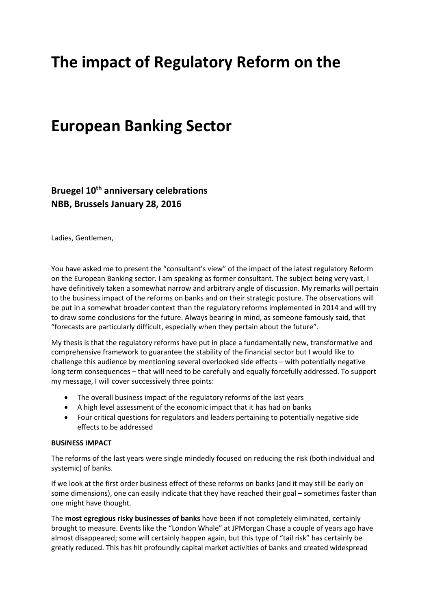# **The impact of Regulatory Reform on the**

# **European Banking Sector**

**Bruegel 10th anniversary celebrations NBB, Brussels January 28, 2016** 

Ladies, Gentlemen,

You have asked me to present the "consultant's view" of the impact of the latest regulatory Reform on the European Banking sector. I am speaking as former consultant. The subject being very vast, I have definitively taken a somewhat narrow and arbitrary angle of discussion. My remarks will pertain to the business impact of the reforms on banks and on their strategic posture. The observations will be put in a somewhat broader context than the regulatory reforms implemented in 2014 and will try to draw some conclusions for the future. Always bearing in mind, as someone famously said, that "forecasts are particularly difficult, especially when they pertain about the future".

My thesis is that the regulatory reforms have put in place a fundamentally new, transformative and comprehensive framework to guarantee the stability of the financial sector but I would like to challenge this audience by mentioning several overlooked side effects – with potentially negative long term consequences – that will need to be carefully and equally forcefully addressed. To support my message, I will cover successively three points:

- The overall business impact of the regulatory reforms of the last years
- A high level assessment of the economic impact that it has had on banks
- Four critical questions for regulators and leaders pertaining to potentially negative side effects to be addressed

#### **BUSINESS IMPACT**

The reforms of the last years were single mindedly focused on reducing the risk (both individual and systemic) of banks.

If we look at the first order business effect of these reforms on banks (and it may still be early on some dimensions), one can easily indicate that they have reached their goal – sometimes faster than one might have thought.

The **most egregious risky businesses of banks** have been if not completely eliminated, certainly brought to measure. Events like the "London Whale" at JPMorgan Chase a couple of years ago have almost disappeared; some will certainly happen again, but this type of "tail risk" has certainly be greatly reduced. This has hit profoundly capital market activities of banks and created widespread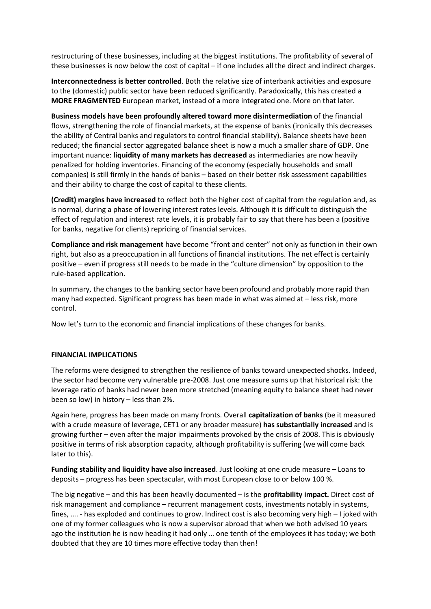restructuring of these businesses, including at the biggest institutions. The profitability of several of these businesses is now below the cost of capital – if one includes all the direct and indirect charges.

**Interconnectedness is better controlled**. Both the relative size of interbank activities and exposure to the (domestic) public sector have been reduced significantly. Paradoxically, this has created a **MORE FRAGMENTED** European market, instead of a more integrated one. More on that later.

**Business models have been profoundly altered toward more disintermediation** of the financial flows, strengthening the role of financial markets, at the expense of banks (ironically this decreases the ability of Central banks and regulators to control financial stability). Balance sheets have been reduced; the financial sector aggregated balance sheet is now a much a smaller share of GDP. One important nuance: **liquidity of many markets has decreased** as intermediaries are now heavily penalized for holding inventories. Financing of the economy (especially households and small companies) is still firmly in the hands of banks – based on their better risk assessment capabilities and their ability to charge the cost of capital to these clients.

**(Credit) margins have increased** to reflect both the higher cost of capital from the regulation and, as is normal, during a phase of lowering interest rates levels. Although it is difficult to distinguish the effect of regulation and interest rate levels, it is probably fair to say that there has been a (positive for banks, negative for clients) repricing of financial services.

**Compliance and risk management** have become "front and center" not only as function in their own right, but also as a preoccupation in all functions of financial institutions. The net effect is certainly positive – even if progress still needs to be made in the "culture dimension" by opposition to the rule-based application.

In summary, the changes to the banking sector have been profound and probably more rapid than many had expected. Significant progress has been made in what was aimed at – less risk, more control.

Now let's turn to the economic and financial implications of these changes for banks.

### **FINANCIAL IMPLICATIONS**

The reforms were designed to strengthen the resilience of banks toward unexpected shocks. Indeed, the sector had become very vulnerable pre-2008. Just one measure sums up that historical risk: the leverage ratio of banks had never been more stretched (meaning equity to balance sheet had never been so low) in history – less than 2%.

Again here, progress has been made on many fronts. Overall **capitalization of banks** (be it measured with a crude measure of leverage, CET1 or any broader measure) **has substantially increased** and is growing further – even after the major impairments provoked by the crisis of 2008. This is obviously positive in terms of risk absorption capacity, although profitability is suffering (we will come back later to this).

**Funding stability and liquidity have also increased**. Just looking at one crude measure – Loans to deposits – progress has been spectacular, with most European close to or below 100 %.

The big negative – and this has been heavily documented – is the **profitability impact.** Direct cost of risk management and compliance – recurrent management costs, investments notably in systems, fines, …. - has exploded and continues to grow. Indirect cost is also becoming very high – I joked with one of my former colleagues who is now a supervisor abroad that when we both advised 10 years ago the institution he is now heading it had only … one tenth of the employees it has today; we both doubted that they are 10 times more effective today than then!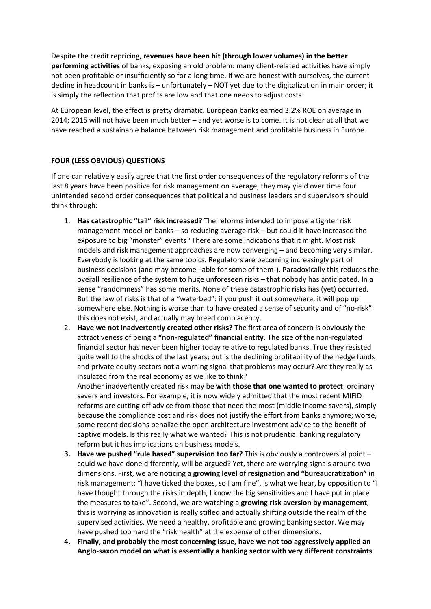Despite the credit repricing, **revenues have been hit (through lower volumes) in the better performing activities** of banks, exposing an old problem: many client-related activities have simply not been profitable or insufficiently so for a long time. If we are honest with ourselves, the current decline in headcount in banks is – unfortunately – NOT yet due to the digitalization in main order; it is simply the reflection that profits are low and that one needs to adjust costs!

At European level, the effect is pretty dramatic. European banks earned 3.2% ROE on average in 2014; 2015 will not have been much better – and yet worse is to come. It is not clear at all that we have reached a sustainable balance between risk management and profitable business in Europe.

## **FOUR (LESS OBVIOUS) QUESTIONS**

If one can relatively easily agree that the first order consequences of the regulatory reforms of the last 8 years have been positive for risk management on average, they may yield over time four unintended second order consequences that political and business leaders and supervisors should think through:

- 1. **Has catastrophic "tail" risk increased?** The reforms intended to impose a tighter risk management model on banks – so reducing average risk – but could it have increased the exposure to big "monster" events? There are some indications that it might. Most risk models and risk management approaches are now converging – and becoming very similar. Everybody is looking at the same topics. Regulators are becoming increasingly part of business decisions (and may become liable for some of them!). Paradoxically this reduces the overall resilience of the system to huge unforeseen risks – that nobody has anticipated. In a sense "randomness" has some merits. None of these catastrophic risks has (yet) occurred. But the law of risks is that of a "waterbed": if you push it out somewhere, it will pop up somewhere else. Nothing is worse than to have created a sense of security and of "no-risk": this does not exist, and actually may breed complacency.
- 2. **Have we not inadvertently created other risks?** The first area of concern is obviously the attractiveness of being a **"non-regulated" financial entity**. The size of the non-regulated financial sector has never been higher today relative to regulated banks. True they resisted quite well to the shocks of the last years; but is the declining profitability of the hedge funds and private equity sectors not a warning signal that problems may occur? Are they really as insulated from the real economy as we like to think?

Another inadvertently created risk may be **with those that one wanted to protect**: ordinary savers and investors. For example, it is now widely admitted that the most recent MIFID reforms are cutting off advice from those that need the most (middle income savers), simply because the compliance cost and risk does not justify the effort from banks anymore; worse, some recent decisions penalize the open architecture investment advice to the benefit of captive models. Is this really what we wanted? This is not prudential banking regulatory reform but it has implications on business models.

- **3. Have we pushed "rule based" supervision too far?** This is obviously a controversial point could we have done differently, will be argued? Yet, there are worrying signals around two dimensions. First, we are noticing a **growing level of resignation and "bureaucratization"** in risk management: "I have ticked the boxes, so I am fine", is what we hear, by opposition to "I have thought through the risks in depth, I know the big sensitivities and I have put in place the measures to take". Second, we are watching a **growing risk aversion by management**; this is worrying as innovation is really stifled and actually shifting outside the realm of the supervised activities. We need a healthy, profitable and growing banking sector. We may have pushed too hard the "risk health" at the expense of other dimensions.
- **4. Finally, and probably the most concerning issue, have we not too aggressively applied an Anglo-saxon model on what is essentially a banking sector with very different constraints**